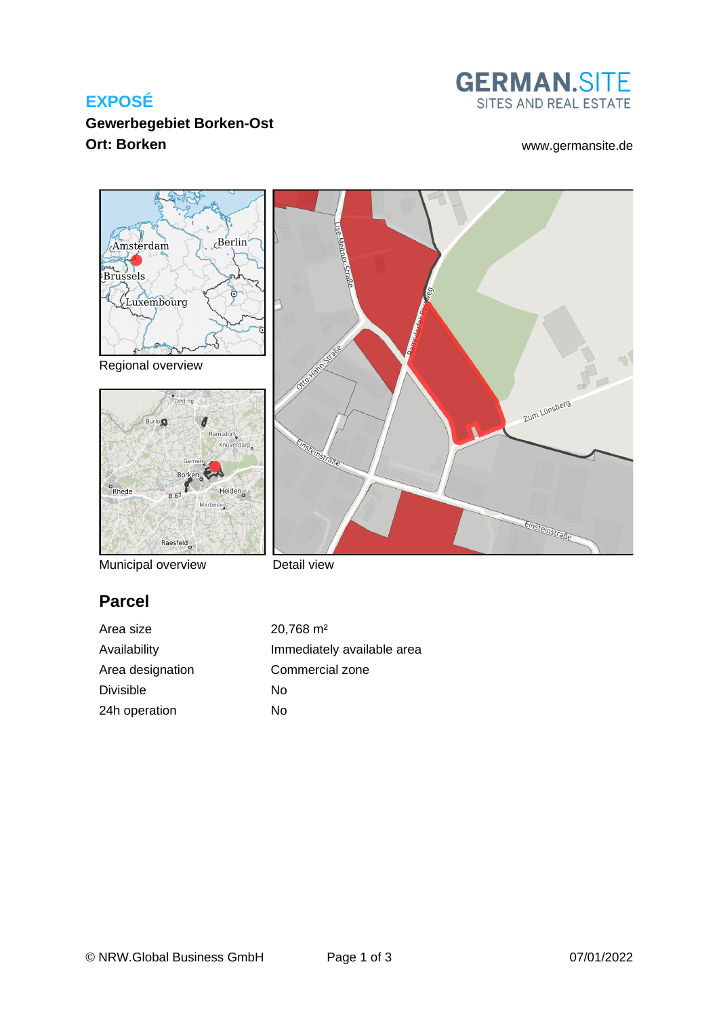## **EXPOSÉ**

## **Gewerbegebiet Borken-Ost Ort: Borken** [www.germansite.de](http://www.germansite.de)

# **GERMAN.SITE** SITES AND REAL ESTATE

Zum Lünsberg

Einsteinstraße



Regional overview



Municipal overview

Detail view

nstralse

# **Parcel**

Area size 20,768 m<sup>2</sup> Area designation Commercial zone Divisible No 24h operation No

Availability **Immediately** available area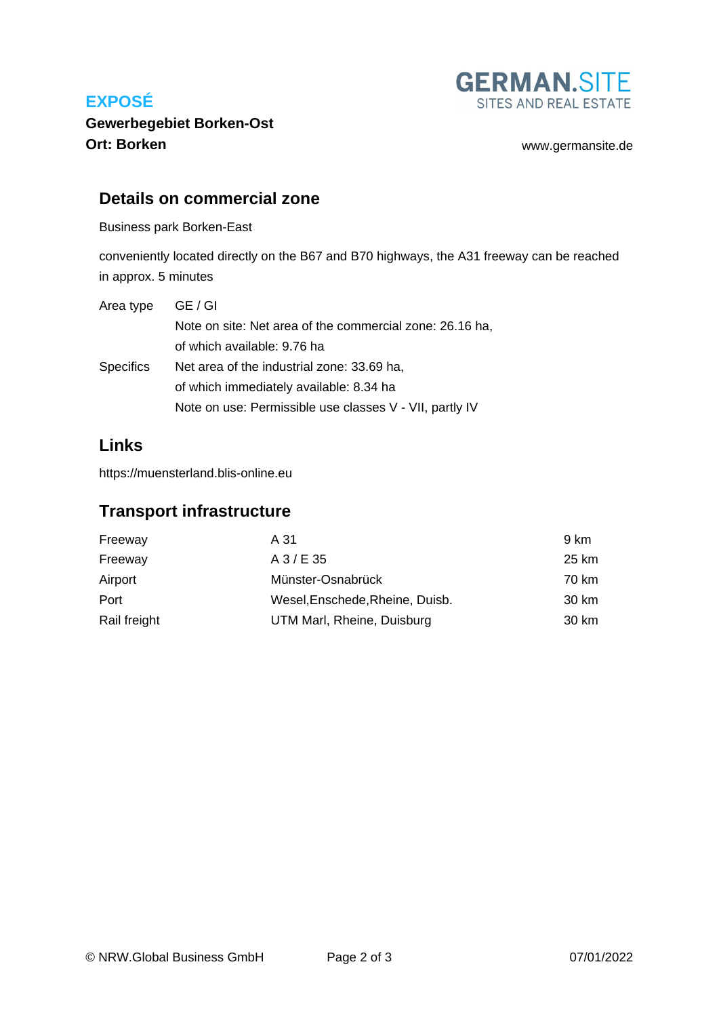## **EXPOSÉ**



## **Gewerbegebiet Borken-Ost Ort: Borken** [www.germansite.de](http://www.germansite.de)

#### **Details on commercial zone**

Business park Borken-East

conveniently located directly on the B67 and B70 highways, the A31 freeway can be reached in approx. 5 minutes

| Area type        | GE / GI                                                  |
|------------------|----------------------------------------------------------|
|                  | Note on site: Net area of the commercial zone: 26.16 ha, |
|                  | of which available: 9.76 ha                              |
| <b>Specifics</b> | Net area of the industrial zone: 33.69 ha,               |
|                  | of which immediately available: 8.34 ha                  |
|                  | Note on use: Permissible use classes V - VII, partly IV  |

#### **Links**

<https://muensterland.blis-online.eu>

#### **Transport infrastructure**

| Freeway      | A 31                            | 9 km  |
|--------------|---------------------------------|-------|
| Freeway      | $A$ 3/E 35                      | 25 km |
| Airport      | Münster-Osnabrück               | 70 km |
| Port         | Wesel, Enschede, Rheine, Duisb. | 30 km |
| Rail freight | UTM Marl, Rheine, Duisburg      | 30 km |